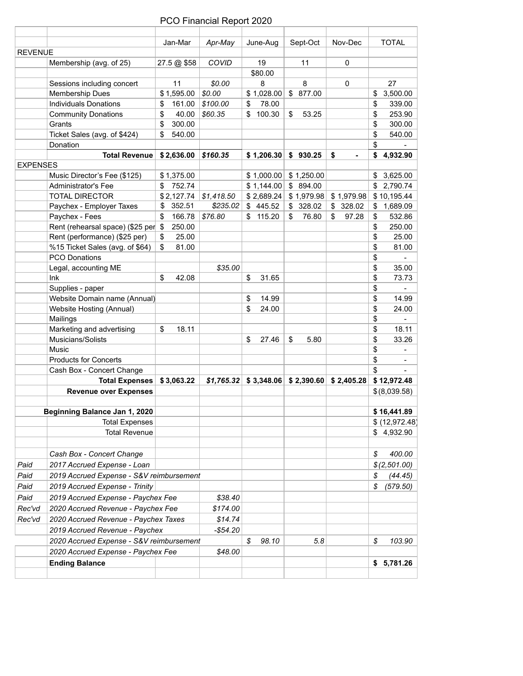|                 |                                                             | Jan-Mar      | Apr-May     | June-Aug     | Sept-Oct                                        | Nov-Dec     | <b>TOTAL</b>                  |
|-----------------|-------------------------------------------------------------|--------------|-------------|--------------|-------------------------------------------------|-------------|-------------------------------|
| <b>REVENUE</b>  |                                                             |              |             |              |                                                 |             |                               |
|                 | Membership (avg. of 25)                                     | 27.5 @ \$58  | COVID       | 19           | 11                                              | 0           |                               |
|                 |                                                             |              |             | \$80.00      |                                                 |             |                               |
|                 | Sessions including concert                                  | 11           | \$0.00      | 8            | 8                                               | 0           | 27                            |
|                 | <b>Membership Dues</b>                                      | \$1,595.00   | \$0.00      | \$1,028.00   | \$ 877.00                                       |             | 3,500.00<br>\$                |
|                 | <b>Individuals Donations</b>                                | \$<br>161.00 | \$100.00    | \$<br>78.00  |                                                 |             | \$<br>339.00                  |
|                 | <b>Community Donations</b>                                  | \$<br>40.00  | \$60.35     | \$<br>100.30 | 53.25<br>\$                                     |             | \$<br>253.90                  |
|                 | Grants                                                      | 300.00<br>\$ |             |              |                                                 |             | \$<br>300.00                  |
|                 | Ticket Sales (avg. of \$424)                                | 540.00<br>\$ |             |              |                                                 |             | \$<br>540.00                  |
|                 | Donation                                                    |              |             |              |                                                 |             | \$                            |
| <b>EXPENSES</b> | <b>Total Revenue</b>                                        | \$2,636.00   | \$160.35    | \$1,206.30   | \$930.25                                        | \$          | 4,932.90<br>\$                |
|                 | Music Director's Fee (\$125)                                | \$1,375.00   |             | \$1,000.00   | \$1,250.00                                      |             | 3,625.00<br>\$                |
|                 | Administrator's Fee                                         | 752.74<br>\$ |             | \$1,144.00   | \$894.00                                        |             | \$2,790.74                    |
|                 | <b>TOTAL DIRECTOR</b>                                       | \$2,127.74   | \$1,418.50  | \$2,689.24   | \$1,979.98                                      | \$1,979.98  | \$10,195.44                   |
|                 | Paychex - Employer Taxes                                    | \$<br>352.51 | \$235.02    | \$445.52     | \$ 328.02                                       | \$328.02    | \$1,689.09                    |
|                 | Paychex - Fees                                              | \$<br>166.78 | \$76.80     | 115.20<br>\$ | 76.80<br>\$                                     | 97.28<br>\$ | 532.86<br>\$                  |
|                 | Rent (rehearsal space) (\$25 per \$                         | 250.00       |             |              |                                                 |             | \$<br>250.00                  |
|                 | Rent (performance) (\$25 per)                               | 25.00<br>\$  |             |              |                                                 |             | \$<br>25.00                   |
|                 | %15 Ticket Sales (avg. of \$64)                             | \$<br>81.00  |             |              |                                                 |             | \$<br>81.00                   |
|                 | <b>PCO Donations</b>                                        |              |             |              |                                                 |             | \$                            |
|                 | Legal, accounting ME                                        |              | \$35.00     |              |                                                 |             | \$<br>35.00                   |
|                 | Ink                                                         | \$<br>42.08  |             | \$<br>31.65  |                                                 |             | \$<br>73.73                   |
|                 | Supplies - paper                                            |              |             |              |                                                 |             | \$                            |
|                 | Website Domain name (Annual)                                |              |             | \$<br>14.99  |                                                 |             | \$<br>14.99                   |
|                 | Website Hosting (Annual)                                    |              |             | \$<br>24.00  |                                                 |             | \$<br>24.00                   |
|                 | Mailings                                                    |              |             |              |                                                 |             | \$                            |
|                 | Marketing and advertising                                   | \$<br>18.11  |             |              |                                                 |             | \$<br>18.11                   |
|                 | Musicians/Solists                                           |              |             | \$<br>27.46  | \$<br>5.80                                      |             | \$<br>33.26                   |
|                 | Music                                                       |              |             |              |                                                 |             | \$                            |
|                 | <b>Products for Concerts</b>                                |              |             |              |                                                 |             | \$                            |
|                 | Cash Box - Concert Change                                   |              |             |              |                                                 |             | \$                            |
|                 | <b>Total Expenses</b>                                       | \$3,063.22   | \$1,765.32  |              | $$3,348.06 \;   \; $2,390.60 \;   \; $2,405.28$ |             | \$12,972.48                   |
|                 | <b>Revenue over Expenses</b>                                |              |             |              |                                                 |             | \$(8,039.58)                  |
|                 |                                                             |              |             |              |                                                 |             |                               |
|                 | Beginning Balance Jan 1, 2020<br><b>Total Expenses</b>      |              |             |              |                                                 |             | \$16,441.89<br>\$ (12,972.48) |
|                 | <b>Total Revenue</b>                                        |              |             |              |                                                 |             | \$4,932.90                    |
|                 |                                                             |              |             |              |                                                 |             |                               |
|                 | Cash Box - Concert Change                                   |              |             |              |                                                 |             | 400.00<br>\$                  |
| Paid            | 2017 Accrued Expense - Loan                                 |              |             |              |                                                 |             | \$(2,501.00)                  |
| Paid            | 2019 Accrued Expense - S&V reimbursement                    |              |             |              |                                                 |             | \$<br>(44.45)                 |
| Paid            | 2019 Accrued Expense - Trinity                              |              |             |              |                                                 |             | \$<br>(579.50)                |
| Paid            | 2019 Accrued Expense - Paychex Fee                          |              | \$38.40     |              |                                                 |             |                               |
|                 |                                                             |              | \$174.00    |              |                                                 |             |                               |
|                 |                                                             |              |             |              |                                                 |             |                               |
| Rec'vd          | 2020 Accrued Revenue - Paychex Fee                          |              |             |              |                                                 |             |                               |
| Rec'vd          | 2020 Accrued Revenue - Paychex Taxes                        |              | \$14.74     |              |                                                 |             |                               |
|                 | 2019 Accrued Revenue - Paychex                              |              | $-$ \$54.20 |              |                                                 |             |                               |
|                 | 2020 Accrued Expense - S&V reimbursement                    |              |             | \$<br>98.10  | 5.8                                             |             | \$                            |
|                 | 2020 Accrued Expense - Paychex Fee<br><b>Ending Balance</b> |              | \$48.00     |              |                                                 |             | 103.90<br>\$5,781.26          |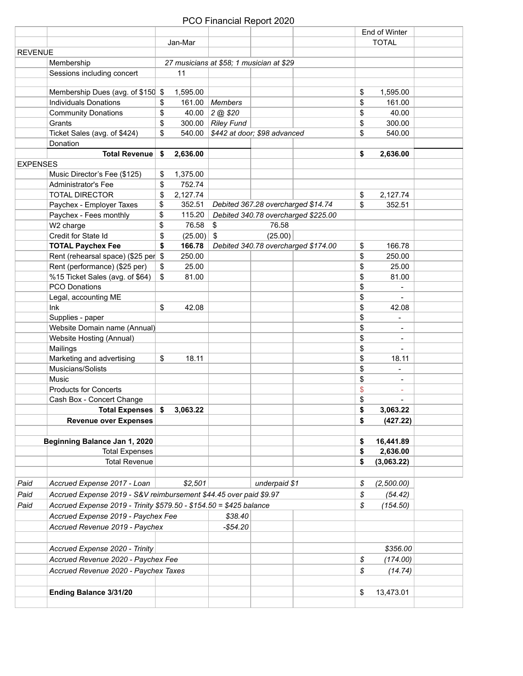|                 |                                                                    |                |                                          |                              |                                     | End of Winter                      |  |
|-----------------|--------------------------------------------------------------------|----------------|------------------------------------------|------------------------------|-------------------------------------|------------------------------------|--|
|                 |                                                                    | Jan-Mar        |                                          |                              |                                     | <b>TOTAL</b>                       |  |
| <b>REVENUE</b>  |                                                                    |                |                                          |                              |                                     |                                    |  |
|                 | Membership                                                         |                | 27 musicians at \$58; 1 musician at \$29 |                              |                                     |                                    |  |
|                 | Sessions including concert                                         | 11             |                                          |                              |                                     |                                    |  |
|                 |                                                                    |                |                                          |                              |                                     |                                    |  |
|                 | Membership Dues (avg. of \$150 \$                                  | 1,595.00       |                                          |                              |                                     | \$<br>1,595.00                     |  |
|                 | <b>Individuals Donations</b>                                       | \$<br>161.00   | Members                                  |                              |                                     | \$<br>161.00                       |  |
|                 | <b>Community Donations</b>                                         | \$<br>40.00    | 2 @ \$20                                 |                              |                                     | \$<br>40.00                        |  |
|                 | Grants                                                             | \$             | 300.00 $\vert$ Riley Fund                |                              |                                     | \$<br>300.00                       |  |
|                 | Ticket Sales (avg. of \$424)                                       | \$<br>540.00   |                                          | \$442 at door; \$98 advanced |                                     | \$<br>540.00                       |  |
|                 | Donation                                                           |                |                                          |                              |                                     |                                    |  |
|                 | <b>Total Revenue</b>                                               | \$<br>2,636.00 |                                          |                              |                                     | \$<br>2,636.00                     |  |
| <b>EXPENSES</b> |                                                                    |                |                                          |                              |                                     |                                    |  |
|                 | Music Director's Fee (\$125)                                       | \$<br>1,375.00 |                                          |                              |                                     |                                    |  |
|                 | Administrator's Fee                                                | \$<br>752.74   |                                          |                              |                                     |                                    |  |
|                 | <b>TOTAL DIRECTOR</b>                                              | \$<br>2,127.74 |                                          |                              |                                     | \$<br>2,127.74                     |  |
|                 | Paychex - Employer Taxes                                           | \$<br>352.51   |                                          |                              | Debited 367.28 overcharged \$14.74  | \$<br>352.51                       |  |
|                 | Paychex - Fees monthly                                             | \$<br>115.20   |                                          |                              | Debited 340.78 overcharged \$225.00 |                                    |  |
|                 | W2 charge                                                          | \$<br>76.58    | \$                                       | 76.58                        |                                     |                                    |  |
|                 | Credit for State Id                                                | \$<br>(25.00)  | \$                                       | (25.00)                      |                                     |                                    |  |
|                 | <b>TOTAL Paychex Fee</b>                                           | \$<br>166.78   |                                          |                              | Debited 340.78 overcharged \$174.00 | 166.78                             |  |
|                 | Rent (rehearsal space) (\$25 per                                   | 250.00         |                                          |                              |                                     | \$                                 |  |
|                 |                                                                    | \$<br>25.00    |                                          |                              |                                     | \$<br>250.00                       |  |
|                 | Rent (performance) (\$25 per)                                      | \$             |                                          |                              |                                     | \$<br>25.00                        |  |
|                 | %15 Ticket Sales (avg. of \$64)                                    | \$<br>81.00    |                                          |                              |                                     | \$<br>81.00                        |  |
|                 | <b>PCO Donations</b>                                               |                |                                          |                              |                                     | \$<br>$\blacksquare$               |  |
|                 | Legal, accounting ME                                               |                |                                          |                              |                                     | \$<br>$\blacksquare$               |  |
|                 | Ink                                                                | \$<br>42.08    |                                          |                              |                                     | \$<br>42.08                        |  |
|                 | Supplies - paper                                                   |                |                                          |                              |                                     | \$<br>÷,                           |  |
|                 | Website Domain name (Annual)                                       |                |                                          |                              |                                     | \$<br>$\blacksquare$               |  |
|                 | Website Hosting (Annual)                                           |                |                                          |                              |                                     | \$<br>$\blacksquare$               |  |
|                 | Mailings                                                           |                |                                          |                              |                                     | \$<br>$\blacksquare$               |  |
|                 | Marketing and advertising                                          | \$<br>18.11    |                                          |                              |                                     | \$<br>18.11                        |  |
|                 | Musicians/Solists                                                  |                |                                          |                              |                                     | \$<br>$\qquad \qquad \blacksquare$ |  |
|                 | Music                                                              |                |                                          |                              |                                     | \$<br>$\blacksquare$               |  |
|                 | <b>Products for Concerts</b>                                       |                |                                          |                              |                                     | \$<br>$\sim$                       |  |
|                 | Cash Box - Concert Change                                          |                |                                          |                              |                                     | \$<br>$\blacksquare$               |  |
|                 | Total Expenses   \$                                                | 3,063.22       |                                          |                              |                                     | \$<br>3,063.22                     |  |
|                 | <b>Revenue over Expenses</b>                                       |                |                                          |                              |                                     | \$<br>(427.22)                     |  |
|                 |                                                                    |                |                                          |                              |                                     |                                    |  |
|                 | Beginning Balance Jan 1, 2020                                      |                |                                          |                              |                                     | \$<br>16,441.89                    |  |
|                 | <b>Total Expenses</b>                                              |                |                                          |                              |                                     | \$<br>2,636.00                     |  |
|                 | <b>Total Revenue</b>                                               |                |                                          |                              |                                     | \$<br>(3,063.22)                   |  |
|                 |                                                                    |                |                                          |                              |                                     |                                    |  |
| Paid            | Accrued Expense 2017 - Loan                                        | \$2,501        |                                          | underpaid \$1                |                                     | \$<br>(2,500.00)                   |  |
| Paid            | Accrued Expense 2019 - S&V reimbursement \$44.45 over paid \$9.97  |                |                                          |                              |                                     | \$<br>(54.42)                      |  |
|                 |                                                                    |                |                                          |                              |                                     | \$<br>(154.50)                     |  |
| Paid            | Accrued Expense 2019 - Trinity \$579.50 - \$154.50 = \$425 balance |                |                                          |                              |                                     |                                    |  |
|                 | Accrued Expense 2019 - Paychex Fee                                 |                | \$38.40                                  |                              |                                     |                                    |  |
|                 | Accrued Revenue 2019 - Paychex                                     |                | $-$ \$54.20                              |                              |                                     |                                    |  |
|                 |                                                                    |                |                                          |                              |                                     |                                    |  |
|                 | Accrued Expense 2020 - Trinity                                     |                |                                          |                              |                                     | \$356.00                           |  |
|                 | Accrued Revenue 2020 - Paychex Fee                                 |                |                                          |                              |                                     | \$<br>(174.00)                     |  |
|                 | Accrued Revenue 2020 - Paychex Taxes                               |                |                                          |                              |                                     | \$<br>(14.74)                      |  |
|                 |                                                                    |                |                                          |                              |                                     |                                    |  |
|                 | Ending Balance 3/31/20                                             |                |                                          |                              |                                     | \$<br>13,473.01                    |  |
|                 |                                                                    |                |                                          |                              |                                     |                                    |  |
|                 |                                                                    |                |                                          |                              |                                     |                                    |  |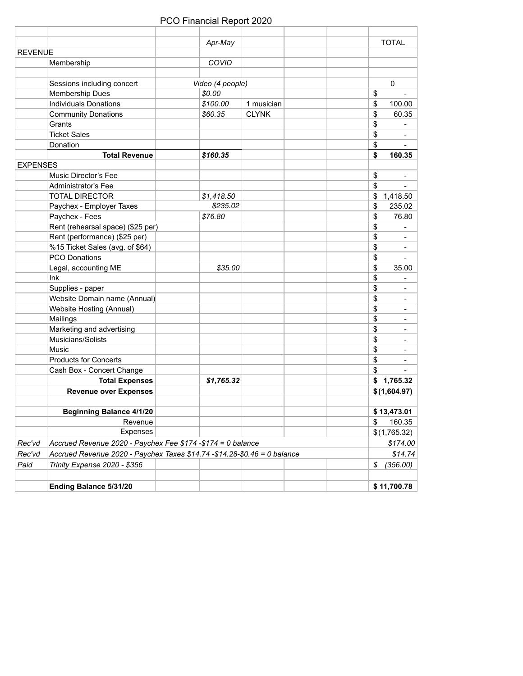|                 |                                                                           | Apr-May          |              | <b>TOTAL</b>         |
|-----------------|---------------------------------------------------------------------------|------------------|--------------|----------------------|
| <b>REVENUE</b>  |                                                                           |                  |              |                      |
|                 | Membership                                                                | COVID            |              |                      |
|                 | Sessions including concert                                                | Video (4 people) |              | 0                    |
|                 | Membership Dues                                                           | \$0.00           |              | \$                   |
|                 | <b>Individuals Donations</b>                                              | \$100.00         | 1 musician   | \$<br>100.00         |
|                 | <b>Community Donations</b>                                                | \$60.35          | <b>CLYNK</b> | \$<br>60.35          |
|                 | Grants                                                                    |                  |              | \$                   |
|                 | <b>Ticket Sales</b>                                                       |                  |              | \$<br>$\blacksquare$ |
|                 | Donation                                                                  |                  |              | \$<br>$\blacksquare$ |
|                 | <b>Total Revenue</b>                                                      | \$160.35         |              | \$<br>160.35         |
| <b>EXPENSES</b> |                                                                           |                  |              |                      |
|                 | Music Director's Fee                                                      |                  |              | \$<br>$\blacksquare$ |
|                 | <b>Administrator's Fee</b>                                                |                  |              | \$<br>$\sim$         |
|                 | <b>TOTAL DIRECTOR</b>                                                     | \$1,418.50       |              | \$<br>1,418.50       |
|                 | Paychex - Employer Taxes                                                  | \$235.02         |              | \$<br>235.02         |
|                 | Paychex - Fees                                                            | \$76.80          |              | \$<br>76.80          |
|                 | Rent (rehearsal space) (\$25 per)                                         |                  |              | \$<br>$\blacksquare$ |
|                 | Rent (performance) (\$25 per)                                             |                  |              | \$<br>$\blacksquare$ |
|                 | %15 Ticket Sales (avg. of \$64)                                           |                  |              | \$<br>$\blacksquare$ |
|                 | <b>PCO Donations</b>                                                      |                  |              | \$<br>$\blacksquare$ |
|                 | Legal, accounting ME                                                      | \$35.00          |              | \$<br>35.00          |
|                 | Ink                                                                       |                  |              | \$<br>$\blacksquare$ |
|                 | Supplies - paper                                                          |                  |              | \$<br>$\blacksquare$ |
|                 | Website Domain name (Annual)                                              |                  |              | \$<br>$\blacksquare$ |
|                 | Website Hosting (Annual)                                                  |                  |              | \$<br>$\blacksquare$ |
|                 | Mailings                                                                  |                  |              | \$<br>$\blacksquare$ |
|                 | Marketing and advertising                                                 |                  |              | \$<br>$\blacksquare$ |
|                 | Musicians/Solists                                                         |                  |              | \$<br>$\blacksquare$ |
|                 | Music                                                                     |                  |              | \$<br>$\blacksquare$ |
|                 | <b>Products for Concerts</b>                                              |                  |              | \$<br>$\blacksquare$ |
|                 | Cash Box - Concert Change                                                 |                  |              | \$<br>$\blacksquare$ |
|                 | <b>Total Expenses</b>                                                     | \$1,765.32       |              | 1,765.32<br>\$       |
|                 | <b>Revenue over Expenses</b>                                              |                  |              | \$(1,604.97)         |
|                 |                                                                           |                  |              |                      |
|                 | <b>Beginning Balance 4/1/20</b>                                           |                  |              | \$13,473.01          |
|                 | Revenue                                                                   |                  |              | 160.35<br>\$         |
|                 | <b>Expenses</b>                                                           |                  |              | \$(1,765.32)         |
| Rec'vd          | Accrued Revenue 2020 - Paychex Fee \$174 -\$174 = 0 balance               |                  |              | \$174.00             |
| Rec'vd          | Accrued Revenue 2020 - Paychex Taxes \$14.74 - \$14.28-\$0.46 = 0 balance |                  |              | \$14.74              |
| Paid            | Trinity Expense 2020 - \$356                                              |                  |              | \$<br>(356.00)       |
|                 | Ending Balance 5/31/20                                                    |                  |              | \$11,700.78          |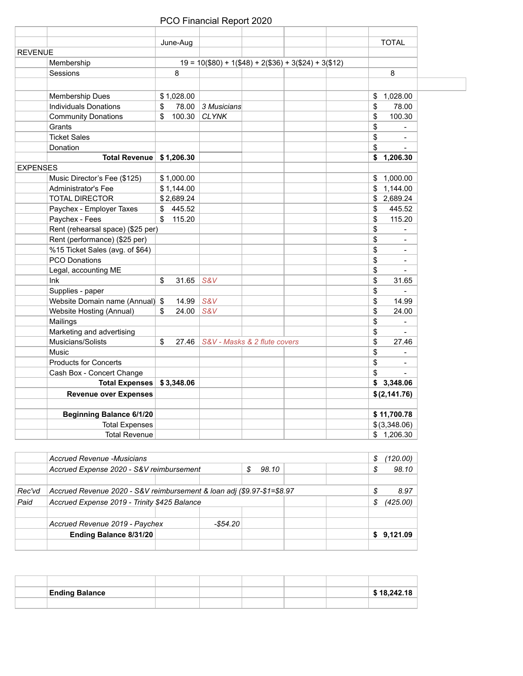| June-Aug                                                               | <b>TOTAL</b>                      |
|------------------------------------------------------------------------|-----------------------------------|
| <b>REVENUE</b>                                                         |                                   |
| Membership<br>$19 = 10$ (\$80) + 1(\$48) + 2(\$36) + 3(\$24) + 3(\$12) |                                   |
| 8<br>Sessions                                                          | 8                                 |
|                                                                        |                                   |
| Membership Dues<br>\$1,028.00                                          | 1,028.00<br>\$                    |
| <b>Individuals Donations</b><br>\$<br>78.00<br>3 Musicians             | \$<br>78.00                       |
| <b>CLYNK</b><br><b>Community Donations</b><br>\$<br>100.30             | \$<br>100.30                      |
| Grants                                                                 | \$                                |
| <b>Ticket Sales</b>                                                    | \$<br>÷,                          |
| Donation                                                               | \$<br>$\blacksquare$              |
| Total Revenue   \$1,206.30                                             | \$1,206.30                        |
| <b>EXPENSES</b>                                                        |                                   |
| Music Director's Fee (\$125)<br>\$1,000.00                             | \$1,000.00                        |
| Administrator's Fee<br>\$1,144.00                                      | \$1,144.00                        |
| <b>TOTAL DIRECTOR</b><br>\$2,689.24                                    | \$2,689.24                        |
| \$445.52<br>Paychex - Employer Taxes                                   | $\sqrt[6]{\frac{1}{2}}$<br>445.52 |
| Paychex - Fees<br>\$115.20                                             | \$<br>115.20                      |
| Rent (rehearsal space) (\$25 per)                                      | \$<br>÷,                          |
| Rent (performance) (\$25 per)                                          | \$<br>$\blacksquare$              |
| %15 Ticket Sales (avg. of \$64)                                        | \$<br>$\blacksquare$              |
| <b>PCO Donations</b>                                                   | \$<br>$\blacksquare$              |
| Legal, accounting ME                                                   | \$                                |
| lnk<br>S&V<br>\$<br>31.65                                              | \$<br>31.65                       |
| Supplies - paper                                                       | \$<br>L.                          |
| Website Domain name (Annual) \$<br>S&V<br>14.99                        | \$<br>14.99                       |
| \$<br>Website Hosting (Annual)<br>24.00<br>S&V                         | \$<br>24.00                       |
| Mailings                                                               | \$<br>$\blacksquare$              |
| Marketing and advertising                                              | \$                                |
| \$<br>Musicians/Solists<br>27.46<br>S&V - Masks & 2 flute covers       | \$<br>27.46                       |
| Music                                                                  | \$                                |
| <b>Products for Concerts</b>                                           | \$<br>÷,                          |
| Cash Box - Concert Change                                              | \$<br>$\blacksquare$              |
| <b>Total Expenses</b><br>\$3,348.06                                    | \$3,348.06                        |
| <b>Revenue over Expenses</b>                                           | \$(2,141.76)                      |
| <b>Beginning Balance 6/1/20</b>                                        | \$11,700.78                       |
| <b>Total Expenses</b>                                                  | \$(3,348.06)                      |
| <b>Total Revenue</b>                                                   | \$1,206.30                        |

|        | Accrued Revenue -Musicians                   |                                                                        |           |       |  |  | S | (120.00)   |
|--------|----------------------------------------------|------------------------------------------------------------------------|-----------|-------|--|--|---|------------|
|        | Accrued Expense 2020 - S&V reimbursement     |                                                                        |           | 98.10 |  |  |   | 98.10      |
|        |                                              |                                                                        |           |       |  |  |   |            |
| Rec'vd |                                              | Accrued Revenue 2020 - S&V reimbursement & Ioan adj (\$9.97-\$1=\$8.97 |           |       |  |  |   |            |
| Paid   | Accrued Expense 2019 - Trinity \$425 Balance |                                                                        |           |       |  |  |   | (425.00)   |
|        |                                              |                                                                        |           |       |  |  |   |            |
|        | Accrued Revenue 2019 - Paychex               |                                                                        | -\$54.201 |       |  |  |   |            |
|        | <b>Ending Balance 8/31/20</b>                |                                                                        |           |       |  |  |   | \$9,121.09 |
|        |                                              |                                                                        |           |       |  |  |   |            |

| <b>Ending Balance</b> |  |  | \$18,242.18 |
|-----------------------|--|--|-------------|
|                       |  |  |             |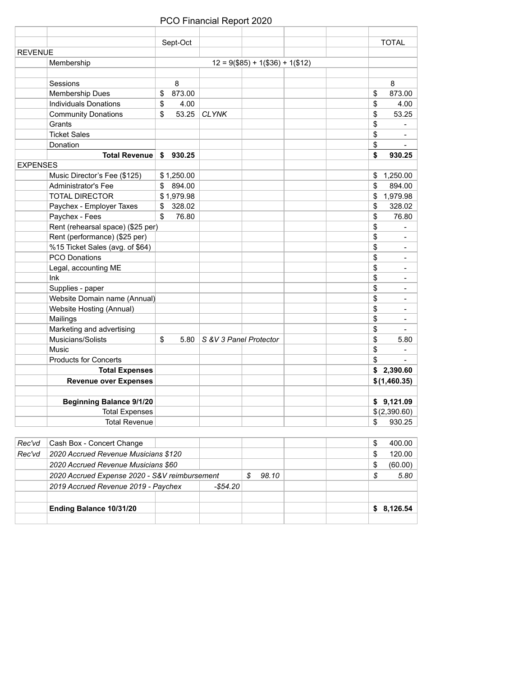|                 |                                   | Sept-Oct     |                        |                                     |        | <b>TOTAL</b>                 |
|-----------------|-----------------------------------|--------------|------------------------|-------------------------------------|--------|------------------------------|
| <b>REVENUE</b>  |                                   |              |                        |                                     |        |                              |
|                 | Membership                        |              |                        | $12 = 9$ (\$85) + 1(\$36) + 1(\$12) |        |                              |
|                 |                                   |              |                        |                                     |        |                              |
|                 | Sessions                          | 8            |                        |                                     |        | 8                            |
|                 | Membership Dues                   | \$<br>873.00 |                        |                                     | \$     | 873.00                       |
|                 | <b>Individuals Donations</b>      | \$<br>4.00   |                        |                                     | \$     | 4.00                         |
|                 | <b>Community Donations</b>        | \$<br>53.25  | <b>CLYNK</b>           |                                     | \$     | 53.25                        |
|                 | Grants                            |              |                        |                                     | \$     | ä,                           |
|                 | <b>Ticket Sales</b>               |              |                        |                                     | \$     | $\blacksquare$               |
|                 | Donation                          |              |                        |                                     | \$     |                              |
|                 | <b>Total Revenue</b>              | \$<br>930.25 |                        |                                     | \$     | 930.25                       |
| <b>EXPENSES</b> |                                   |              |                        |                                     |        |                              |
|                 | Music Director's Fee (\$125)      | \$1,250.00   |                        |                                     |        | \$1,250.00                   |
|                 | <b>Administrator's Fee</b>        | \$894.00     |                        |                                     | \$     | 894.00                       |
|                 | <b>TOTAL DIRECTOR</b>             | \$1,979.98   |                        |                                     | \$     | 1,979.98                     |
|                 | Paychex - Employer Taxes          | \$<br>328.02 |                        |                                     | \$     | 328.02                       |
|                 | Paychex - Fees                    | \$<br>76.80  |                        |                                     | \$     | 76.80                        |
|                 | Rent (rehearsal space) (\$25 per) |              |                        |                                     | \$     |                              |
|                 | Rent (performance) (\$25 per)     |              |                        |                                     | \$     | $\blacksquare$               |
|                 | %15 Ticket Sales (avg. of \$64)   |              |                        |                                     | \$     | $\blacksquare$               |
|                 | <b>PCO Donations</b>              |              |                        |                                     | \$     | $\frac{1}{2}$                |
|                 | Legal, accounting ME              |              |                        |                                     | \$     | ÷,                           |
|                 | Ink                               |              |                        |                                     | \$     | $\blacksquare$               |
|                 | Supplies - paper                  |              |                        |                                     | \$     | $\overline{a}$               |
|                 | Website Domain name (Annual)      |              |                        |                                     | \$     | $\blacksquare$               |
|                 | Website Hosting (Annual)          |              |                        |                                     | \$     | $\qquad \qquad \blacksquare$ |
|                 | Mailings                          |              |                        |                                     | \$     | $\blacksquare$               |
|                 | Marketing and advertising         |              |                        |                                     | \$     |                              |
|                 | Musicians/Solists                 | \$<br>5.80   | S &V 3 Panel Protector |                                     | \$     | 5.80                         |
|                 | Music                             |              |                        |                                     | \$     | $\blacksquare$               |
|                 | <b>Products for Concerts</b>      |              |                        |                                     | \$     |                              |
|                 | <b>Total Expenses</b>             |              |                        |                                     |        | \$2,390.60                   |
|                 | <b>Revenue over Expenses</b>      |              |                        |                                     |        | \$(1,460.35)                 |
|                 |                                   |              |                        |                                     |        |                              |
|                 | <b>Beginning Balance 9/1/20</b>   |              |                        |                                     |        | \$9,121.09                   |
|                 | <b>Total Expenses</b>             |              |                        |                                     |        | \$(2,390.60)                 |
|                 | <b>Total Revenue</b>              |              |                        |                                     | \$     | 930.25                       |
|                 |                                   |              |                        |                                     |        |                              |
| Rec'vd          | Cash Box - Concert Change         |              |                        |                                     | \$     | 400.00                       |
|                 |                                   |              |                        |                                     | $\sim$ | 10000                        |

| Rec'vd | Cash Box - Concert Change                     |            |       |  | S | 400.00     |
|--------|-----------------------------------------------|------------|-------|--|---|------------|
| Rec'vd | 2020 Accrued Revenue Musicians \$120          |            |       |  |   | 120.00     |
|        | 2020 Accrued Revenue Musicians \$60           |            |       |  | S | (60.00)    |
|        | 2020 Accrued Expense 2020 - S&V reimbursement |            | 98.10 |  | S | 5.80       |
|        | 2019 Accrued Revenue 2019 - Paychex           | -\$54.20 \ |       |  |   |            |
|        |                                               |            |       |  |   |            |
|        | Ending Balance 10/31/20                       |            |       |  |   | \$8,126.54 |
|        |                                               |            |       |  |   |            |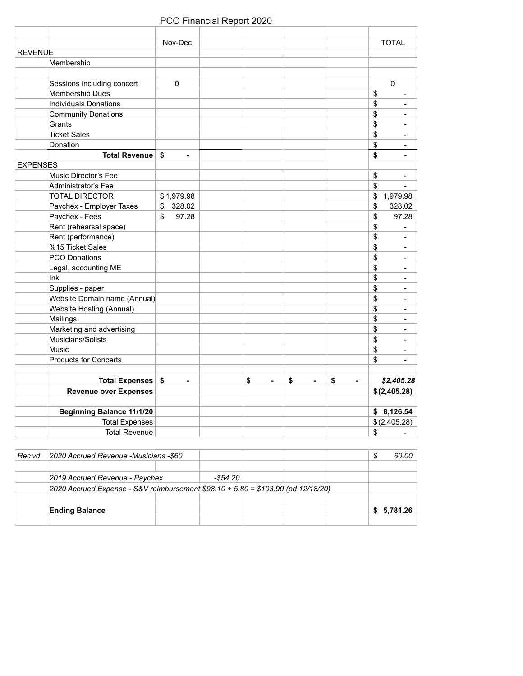|                                  | Nov-Dec                      |    |    |                      |    | <b>TOTAL</b>         |
|----------------------------------|------------------------------|----|----|----------------------|----|----------------------|
| <b>REVENUE</b>                   |                              |    |    |                      |    |                      |
| Membership                       |                              |    |    |                      |    |                      |
|                                  |                              |    |    |                      |    |                      |
| Sessions including concert       | 0                            |    |    |                      |    | 0                    |
| Membership Dues                  |                              |    |    |                      |    | \$                   |
| <b>Individuals Donations</b>     |                              |    |    |                      |    | \$<br>$\blacksquare$ |
| <b>Community Donations</b>       |                              |    |    |                      |    | \$<br>$\blacksquare$ |
| Grants                           |                              |    |    |                      |    | \$<br>$\blacksquare$ |
| <b>Ticket Sales</b>              |                              |    |    |                      |    | \$<br>$\frac{1}{2}$  |
| Donation                         |                              |    |    |                      |    | \$<br>$\frac{1}{2}$  |
| Total Revenue   \$               | $\overline{\phantom{0}}$     |    |    |                      |    | \$<br>$\blacksquare$ |
| <b>EXPENSES</b>                  |                              |    |    |                      |    |                      |
| Music Director's Fee             |                              |    |    |                      |    | \$<br>ä,             |
| Administrator's Fee              |                              |    |    |                      |    | \$<br>$\blacksquare$ |
| <b>TOTAL DIRECTOR</b>            | \$1,979.98                   |    |    |                      |    | \$<br>1,979.98       |
| Paychex - Employer Taxes         | 328.02<br>\$                 |    |    |                      |    | 328.02<br>\$         |
| Paychex - Fees                   | \$<br>97.28                  |    |    |                      |    | \$<br>97.28          |
| Rent (rehearsal space)           |                              |    |    |                      |    | \$                   |
| Rent (performance)               |                              |    |    |                      |    | \$<br>$\overline{a}$ |
| %15 Ticket Sales                 |                              |    |    |                      |    | \$<br>$\blacksquare$ |
| <b>PCO Donations</b>             |                              |    |    |                      |    | \$<br>$\blacksquare$ |
| Legal, accounting ME             |                              |    |    |                      |    | \$<br>÷,             |
| Ink                              |                              |    |    |                      |    | \$<br>$\blacksquare$ |
| Supplies - paper                 |                              |    |    |                      |    | \$<br>$\blacksquare$ |
| Website Domain name (Annual)     |                              |    |    |                      |    | \$<br>$\blacksquare$ |
| Website Hosting (Annual)         |                              |    |    |                      |    | \$<br>$\frac{1}{2}$  |
| Mailings                         |                              |    |    |                      |    | \$<br>$\blacksquare$ |
| Marketing and advertising        |                              |    |    |                      |    | \$<br>$\blacksquare$ |
| Musicians/Solists                |                              |    |    |                      |    | \$<br>$\blacksquare$ |
| Music                            |                              |    |    |                      |    | \$<br>÷,             |
| <b>Products for Concerts</b>     |                              |    |    |                      |    | \$<br>$\blacksquare$ |
|                                  |                              |    |    |                      |    |                      |
| Total Expenses \$                | $\qquad \qquad \blacksquare$ | \$ | ÷, | \$<br>$\blacksquare$ | \$ | \$2,405.28           |
| <b>Revenue over Expenses</b>     |                              |    |    |                      |    | \$(2,405.28)         |
|                                  |                              |    |    |                      |    |                      |
| <b>Beginning Balance 11/1/20</b> |                              |    |    |                      |    | \$8,126.54           |
| <b>Total Expenses</b>            |                              |    |    |                      |    | \$(2,405.28)         |
| <b>Total Revenue</b>             |                              |    |    |                      |    | \$<br>$\overline{a}$ |

| Rec'vd | 2020 Accrued Revenue -Musicians -\$60                                            |          |  | J. | 60.00       |
|--------|----------------------------------------------------------------------------------|----------|--|----|-------------|
|        |                                                                                  |          |  |    |             |
|        | 2019 Accrued Revenue - Paychex                                                   | -\$54.20 |  |    |             |
|        | 2020 Accrued Expense - S&V reimbursement \$98.10 + 5.80 = \$103.90 (pd 12/18/20) |          |  |    |             |
|        |                                                                                  |          |  |    |             |
|        | <b>Ending Balance</b>                                                            |          |  |    | \$ 5,781.26 |
|        |                                                                                  |          |  |    |             |